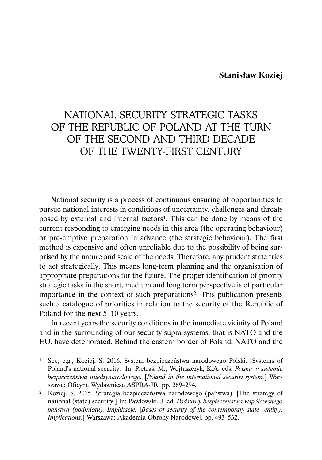### **Stanisław Koziej**

# NATIONAL SECURITY STRATEGIC TASKS OF THE REPUBLIC OF POLAND AT THE TURN OF THE SECOND AND THIRD DECADE OF THE TWENTY-FIRST CENTURY

National security is a process of continuous ensuring of opportunities to pursue national interests in conditions of uncertainty, challenges and threats posed by external and internal factors1. This can be done by means of the current responding to emerging needs in this area (the operating behaviour) or pre-emptive preparation in advance (the strategic behaviour). The first method is expensive and often unreliable due to the possibility of being surprised by the nature and scale of the needs. Therefore, any prudent state tries to act strategically. This means long-term planning and the organisation of appropriate preparations for the future. The proper identification of priority strategic tasks in the short, medium and long term perspective is of particular importance in the context of such preparations2. This publication presents such a catalogue of priorities in relation to the security of the Republic of Poland for the next 5–10 years.

In recent years the security conditions in the immediate vicinity of Poland and in the surrounding of our security supra-systems, that is NATO and the EU, have deteriorated. Behind the eastern border of Poland, NATO and the

<sup>1</sup> See, e.g., Koziej, S. 2016. System bezpieczeństwa narodowego Polski. [Systems of Poland's national security.] In: Pietraś, M., Wojtaszczyk, K.A. eds. *Polska w systemie bezpieczeństwa międzynarodowego.* [*Poland in the international security system.*] Warszawa: Oficyna Wydawnicza ASPRA-JR, pp. 269–294.

<sup>2</sup> Koziej, S. 2015. Strategia bezpieczeństwa narodowego (państwa). [The strategy of national (state) security.] In: Pawłowski, J. ed. *Podstawy bezpieczeństwa współczesnego państwa (podmiotu). Implikacje.* [*Bases of security of the contemporary state (entity). Implications*.] Warszawa: Akademia Obrony Narodowej, pp. 493–532.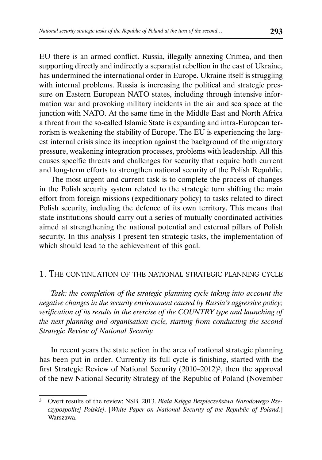EU there is an armed conflict. Russia, illegally annexing Crimea, and then supporting directly and indirectly a separatist rebellion in the east of Ukraine, has undermined the international order in Europe. Ukraine itself is struggling with internal problems. Russia is increasing the political and strategic pressure on Eastern European NATO states, including through intensive information war and provoking military incidents in the air and sea space at the junction with NATO. At the same time in the Middle East and North Africa a threat from the so-called Islamic State is expanding and intra-European terrorism is weakening the stability of Europe. The EU is experiencing the largest internal crisis since its inception against the background of the migratory pressure, weakening integration processes, problems with leadership. All this causes specific threats and challenges for security that require both current and long-term efforts to strengthen national security of the Polish Republic.

The most urgent and current task is to complete the process of changes in the Polish security system related to the strategic turn shifting the main effort from foreign missions (expeditionary policy) to tasks related to direct Polish security, including the defence of its own territory. This means that state institutions should carry out a series of mutually coordinated activities aimed at strengthening the national potential and external pillars of Polish security. In this analysis I present ten strategic tasks, the implementation of which should lead to the achievement of this goal.

#### 1. THE CONTINUATION OF THE NATIONAL STRATEGIC PLANNING CYCLE

*Task: the completion of the strategic planning cycle taking into account the negative changes in the security environment caused by Russia's aggressive policy; verification of its results in the exercise of the COUNTRY type and launching of the next planning and organisation cycle, starting from conducting the second Strategic Review of National Security.*

In recent years the state action in the area of national strategic planning has been put in order. Currently its full cycle is finishing, started with the first Strategic Review of National Security (2010–2012)3, then the approval of the new National Security Strategy of the Republic of Poland (November

<sup>3</sup> Overt results of the review: NSB. 2013. *Biała Księga Bezpieczeństwa Narodowego Rzeczypospolitej Polskiej*. [*White Paper on National Security of the Republic of Poland*.] Warszawa.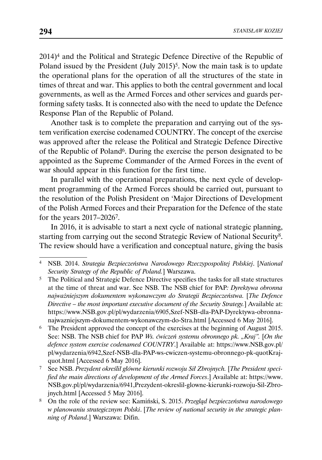2014)4 and the Political and Strategic Defence Directive of the Republic of Poland issued by the President  $\frac{July}{2015}$ . Now the main task is to update the operational plans for the operation of all the structures of the state in times of threat and war. This applies to both the central government and local governments, as well as the Armed Forces and other services and guards performing safety tasks. It is connected also with the need to update the Defence Response Plan of the Republic of Poland.

Another task is to complete the preparation and carrying out of the system verification exercise codenamed COUNTRY. The concept of the exercise was approved after the release the Political and Strategic Defence Directive of the Republic of Poland6. During the exercise the person designated to be appointed as the Supreme Commander of the Armed Forces in the event of war should appear in this function for the first time.

In parallel with the operational preparations, the next cycle of development programming of the Armed Forces should be carried out, pursuant to the resolution of the Polish President on 'Major Directions of Development of the Polish Armed Forces and their Preparation for the Defence of the state for the years 2017–20267.

In 2016, it is advisable to start a next cycle of national strategic planning, starting from carrying out the second Strategic Review of National Security8. The review should have a verification and conceptual nature, giving the basis

<sup>4</sup> NSB. 2014. *Strategia Bezpieczeństwa Narodowego Rzeczypospolitej Polskiej*. [*National Security Strategy of the Republic of Poland.*] Warszawa.

<sup>5</sup> The Political and Strategic Defence Directive specifies the tasks for all state structures at the time of threat and war. See NSB. The NSB chief for PAP*: Dyrektywa obronna najważniejszym dokumentem wykonawczym do Strategii Bezpieczeństwa.* [*The Defence Directive – the most important executive document of the Security Strategy.*] Available at: https://www.NSB.gov.pl/pl/wydarzenia/6905,Szef-NSB-dla-PAP-Dyrektywa-obronnanajwazniejszym-dokumentem-wykonawczym-do-Stra.html [Accessed 6 May 2016].

<sup>6</sup> The President approved the concept of the exercises at the beginning of August 2015. See: NSB. The NSB chief for PAP *Ws. ćwiczeń systemu obronnego pk. "Kraj".* [On the *defence system exercise codenamed COUNTRY*.] Available at: https://www.NSB.gov.pl/ pl/wydarzenia/6942,Szef-NSB-dla-PAP-ws-cwiczen-systemu-obronnego-pk-quotKrajquot.html [Accessed 6 May 2016].

<sup>7</sup> See NSB. *Prezydent określił główne kierunki rozwoju Sił Zbrojnych.* [*The President specified the main directions of development of the Armed Forces*.] Available at: https://www. NSB.gov.pl/pl/wydarzenia/6941,Prezydent-okreslil-glowne-kierunki-rozwoju-Sil-Zbrojnych.html [Accessed 5 May 2016].

<sup>8</sup> On the role of the review see: Kamiński, S. 2015. *Przegląd bezpieczeństwa narodowego w planowaniu strategicznym Polski*. [*The review of national security in the strategic planning of Poland*.] Warszawa: Difin.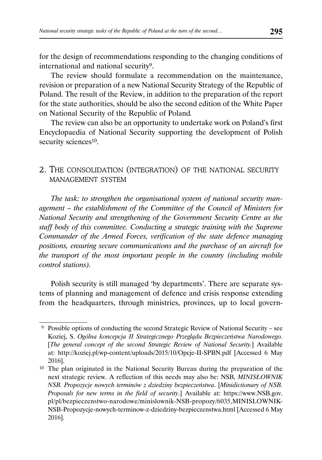for the design of recommendations responding to the changing conditions of international and national security9.

The review should formulate a recommendation on the maintenance, revision or preparation of a new National Security Strategy of the Republic of Poland. The result of the Review, in addition to the preparation of the report for the state authorities, should be also the second edition of the White Paper on National Security of the Republic of Poland*.*

The review can also be an opportunity to undertake work on Poland's first Encyclopaedia of National Security supporting the development of Polish security sciences<sup>10</sup>.

# 2. THE CONSOLIDATION (INTEGRATION) OF THE NATIONAL SECURITY MANAGEMENT SYSTEM

*The task: to strengthen the organisational system of national security management – the establishment of the Committee of the Council of Ministers for National Security and strengthening of the Government Security Centre as the staff body of this committee. Conducting a strategic training with the Supreme Commander of the Armed Forces, verification of the state defence managing positions, ensuring secure communications and the purchase of an aircraft for the transport of the most important people in the country (including mobile control stations).*

Polish security is still managed 'by departments'. There are separate systems of planning and management of defence and crisis response extending from the headquarters, through ministries, provinces, up to local govern-

 <sup>9</sup> Possible options of conducting the second Strategic Review of National Security – see Koziej, S. *Ogólna koncepcja II Strategicznego Przeglądu Bezpieczeństwa Narodowego.*  [*The general concept of the second Strategic Review of National Security.*] Available at: http://koziej.pl/wp-content/uploads/2015/10/Opcje-II-SPBN.pdf [Accessed 6 May 2016].

<sup>10</sup> The plan originated in the National Security Bureau during the preparation of the next strategic review. A reflection of this needs may also be: NSB, *MINISŁOWNIK NSB. Propozycje nowych terminów z dziedziny bezpieczeństwa*. [*Minidictionary of NSB. Proposals for new terms in the field of security*.] Available at: https://www.NSB.gov. pl/pl/bezpieczenstwo-narodowe/minislownik-NSB-propozy/6035,MINISLOWNIK-NSB-Propozycje-nowych-terminow-z-dziedziny-bezpieczenstwa.html [Accessed 6 May 2016].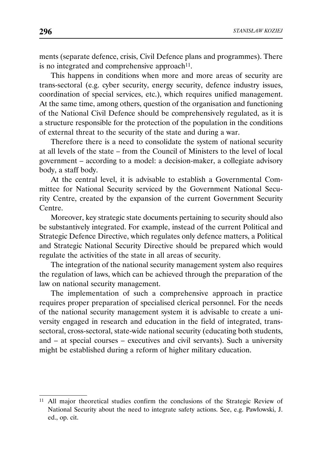ments (separate defence, crisis, Civil Defence plans and programmes). There is no integrated and comprehensive approach $11$ .

This happens in conditions when more and more areas of security are trans-sectoral (e.g. cyber security, energy security, defence industry issues, coordination of special services, etc.), which requires unified management. At the same time, among others, question of the organisation and functioning of the National Civil Defence should be comprehensively regulated, as it is a structure responsible for the protection of the population in the conditions of external threat to the security of the state and during a war.

Therefore there is a need to consolidate the system of national security at all levels of the state – from the Council of Ministers to the level of local government – according to a model: a decision-maker, a collegiate advisory body, a staff body.

At the central level, it is advisable to establish a Governmental Committee for National Security serviced by the Government National Security Centre, created by the expansion of the current Government Security Centre.

Moreover, key strategic state documents pertaining to security should also be substantively integrated. For example, instead of the current Political and Strategic Defence Directive, which regulates only defence matters, a Political and Strategic National Security Directive should be prepared which would regulate the activities of the state in all areas of security.

The integration of the national security management system also requires the regulation of laws, which can be achieved through the preparation of the law on national security management.

The implementation of such a comprehensive approach in practice requires proper preparation of specialised clerical personnel. For the needs of the national security management system it is advisable to create a university engaged in research and education in the field of integrated, transsectoral, cross-sectoral, state-wide national security (educating both students, and – at special courses – executives and civil servants). Such a university might be established during a reform of higher military education.

<sup>11</sup> All major theoretical studies confirm the conclusions of the Strategic Review of National Security about the need to integrate safety actions. See, e.g. Pawłowski, J. ed., op. cit.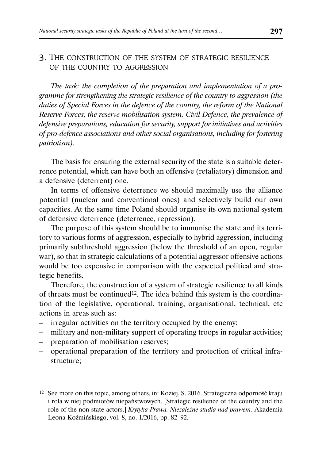### 3. THE CONSTRUCTION OF THE SYSTEM OF STRATEGIC RESILIENCE OF THE COUNTRY TO AGGRESSION

*The task: the completion of the preparation and implementation of a programme for strengthening the strategic resilience of the country to aggression (the duties of Special Forces in the defence of the country, the reform of the National Reserve Forces, the reserve mobilisation system, Civil Defence, the prevalence of defensive preparations, education for security, support for initiatives and activities of pro-defence associations and other social organisations, including for fostering patriotism).*

The basis for ensuring the external security of the state is a suitable deterrence potential, which can have both an offensive (retaliatory) dimension and a defensive (deterrent) one.

In terms of offensive deterrence we should maximally use the alliance potential (nuclear and conventional ones) and selectively build our own capacities. At the same time Poland should organise its own national system of defensive deterrence (deterrence, repression).

The purpose of this system should be to immunise the state and its territory to various forms of aggression, especially to hybrid aggression, including primarily subthreshold aggression (below the threshold of an open, regular war), so that in strategic calculations of a potential aggressor offensive actions would be too expensive in comparison with the expected political and strategic benefits.

Therefore, the construction of a system of strategic resilience to all kinds of threats must be continued<sup>12</sup>. The idea behind this system is the coordination of the legislative, operational, training, organisational, technical, etc actions in areas such as:

- irregular activities on the territory occupied by the enemy;
- military and non-military support of operating troops in regular activities;
- preparation of mobilisation reserves;
- operational preparation of the territory and protection of critical infrastructure;

<sup>12</sup> See more on this topic, among others, in: Koziej, S. 2016. Strategiczna odporność kraju i rola w niej podmiotów niepaństwowych. [Strategic resilience of the country and the role of the non-state actors.] *Krytyka Prawa. Niezależne studia nad prawem*. Akademia Leona Koźmińskiego, vol. 8, no. 1/2016, pp. 82–92.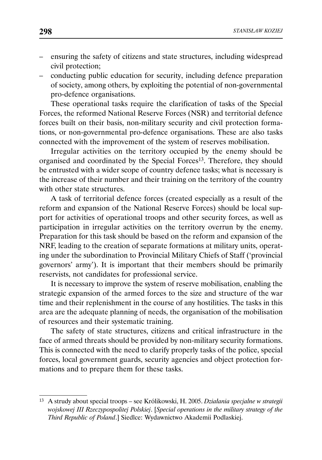- ensuring the safety of citizens and state structures, including widespread civil protection;
- conducting public education for security, including defence preparation of society, among others, by exploiting the potential of non-governmental pro-defence organisations.

These operational tasks require the clarification of tasks of the Special Forces, the reformed National Reserve Forces (NSR) and territorial defence forces built on their basis, non-military security and civil protection formations, or non-governmental pro-defence organisations. These are also tasks connected with the improvement of the system of reserves mobilisation.

Irregular activities on the territory occupied by the enemy should be organised and coordinated by the Special Forces13. Therefore, they should be entrusted with a wider scope of country defence tasks; what is necessary is the increase of their number and their training on the territory of the country with other state structures.

A task of territorial defence forces (created especially as a result of the reform and expansion of the National Reserve Forces) should be local support for activities of operational troops and other security forces, as well as participation in irregular activities on the territory overrun by the enemy. Preparation for this task should be based on the reform and expansion of the NRF, leading to the creation of separate formations at military units, operating under the subordination to Provincial Military Chiefs of Staff ('provincial governors' army'). It is important that their members should be primarily reservists, not candidates for professional service.

It is necessary to improve the system of reserve mobilisation, enabling the strategic expansion of the armed forces to the size and structure of the war time and their replenishment in the course of any hostilities. The tasks in this area are the adequate planning of needs, the organisation of the mobilisation of resources and their systematic training.

The safety of state structures, citizens and critical infrastructure in the face of armed threats should be provided by non-military security formations. This is connected with the need to clarify properly tasks of the police, special forces, local government guards, security agencies and object protection formations and to prepare them for these tasks.

<sup>13</sup> A strudy about special troops – see Królikowski, H. 2005. *Działania specjalne w strategii wojskowej III Rzeczypospolitej Polskiej*. [*Special operations in the military strategy of the Third Republic of Poland*.] Siedlce: Wydawnictwo Akademii Podlaskiej.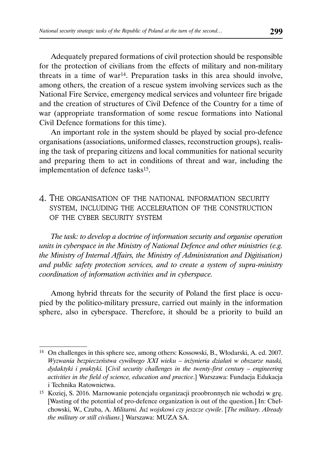Adequately prepared formations of civil protection should be responsible for the protection of civilians from the effects of military and non-military threats in a time of war<sup>14</sup>. Preparation tasks in this area should involve, among others, the creation of a rescue system involving services such as the National Fire Service, emergency medical services and volunteer fire brigade and the creation of structures of Civil Defence of the Country for a time of war (appropriate transformation of some rescue formations into National Civil Defence formations for this time).

An important role in the system should be played by social pro-defence organisations (associations, uniformed classes, reconstruction groups), realising the task of preparing citizens and local communities for national security and preparing them to act in conditions of threat and war, including the implementation of defence tasks15.

# 4. THE ORGANISATION OF THE NATIONAL INFORMATION SECURITY SYSTEM, INCLUDING THE ACCELERATION OF THE CONSTRUCTION OF THE CYBER SECURITY SYSTEM

*The task: to develop a doctrine of information security and organise operation units in cyberspace in the Ministry of National Defence and other ministries (e.g. the Ministry of Internal Affairs, the Ministry of Administration and Digitisation) and public safety protection services, and to create a system of supra-ministry coordination of information activities and in cyberspace.*

Among hybrid threats for the security of Poland the first place is occupied by the politico-military pressure, carried out mainly in the information sphere, also in cyberspace. Therefore, it should be a priority to build an

<sup>14</sup> On challenges in this sphere see, among others: Kossowski, B., Włodarski, A. ed. 2007. *Wyzwania bezpieczeństwa cywilnego XXI wieku – inżynieria działań w obszarze nauki, dydaktyki i praktyki.* [*Civil security challenges in the twenty-first century – engineering activities in the field of science, education and practice*.] Warszawa: Fundacja Edukacja i Technika Ratownictwa.

<sup>15</sup> Koziej, S. 2016. Marnowanie potencjału organizacji proobronnych nie wchodzi w grę. [Wasting of the potential of pro-defence organization is out of the question.] In: Chełchowski, W., Czuba, A. *Militarni. Już wojskowi czy jeszcze cywile*. [*The military. Already the military or still civilians*.] Warszawa: MUZA SA.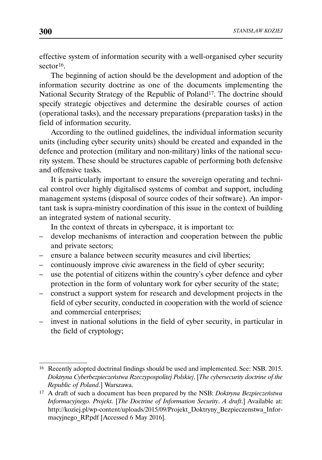effective system of information security with a well-organised cyber security sector16.

The beginning of action should be the development and adoption of the information security doctrine as one of the documents implementing the National Security Strategy of the Republic of Poland<sup>17</sup>. The doctrine should specify strategic objectives and determine the desirable courses of action (operational tasks), and the necessary preparations (preparation tasks) in the field of information security.

According to the outlined guidelines, the individual information security units (including cyber security units) should be created and expanded in the defence and protection (military and non-military) links of the national security system. These should be structures capable of performing both defensive and offensive tasks.

It is particularly important to ensure the sovereign operating and technical control over highly digitalised systems of combat and support, including management systems (disposal of source codes of their software). An important task is supra-ministry coordination of this issue in the context of building an integrated system of national security.

In the context of threats in cyberspace, it is important to:

- develop mechanisms of interaction and cooperation between the public and private sectors;
- ensure a balance between security measures and civil liberties;
- continuously improve civic awareness in the field of cyber security;
- use the potential of citizens within the country's cyber defence and cyber protection in the form of voluntary work for cyber security of the state;
- construct a support system for research and development projects in the field of cyber security, conducted in cooperation with the world of science and commercial enterprises;
- invest in national solutions in the field of cyber security, in particular in the field of cryptology;

<sup>16</sup> Recently adopted doctrinal findings should be used and implemented. See: NSB. 2015. *Doktryna Cyberbezpieczeństwa Rzeczypospolitej Polskiej*. [*The cybersecurity doctrine of the Republic of Poland*.] Warszawa.

<sup>17</sup> A draft of such a document has been prepared by the NSB: *Doktryna Bezpieczeństwa Informacyjnego. Projekt.* [*The Doctrine of Information Security*. *A draft*.] Available at: http://koziej.pl/wp-content/uploads/2015/09/Projekt\_Doktryny\_Bezpieczenstwa\_Informacyjnego\_RP.pdf [Accessed 6 May 2016].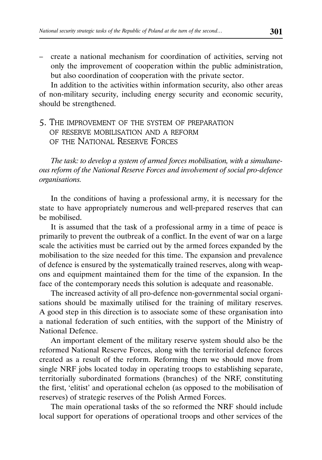– create a national mechanism for coordination of activities, serving not only the improvement of cooperation within the public administration, but also coordination of cooperation with the private sector.

In addition to the activities within information security, also other areas of non-military security, including energy security and economic security, should be strengthened.

# 5. THE IMPROVEMENT OF THE SYSTEM OF PREPARATION OF RESERVE MOBILISATION AND A REFORM OF THE NATIONAL RESERVE FORCES

*The task: to develop a system of armed forces mobilisation, with a simultaneous reform of the National Reserve Forces and involvement of social pro-defence organisations.*

In the conditions of having a professional army, it is necessary for the state to have appropriately numerous and well-prepared reserves that can be mobilised.

It is assumed that the task of a professional army in a time of peace is primarily to prevent the outbreak of a conflict. In the event of war on a large scale the activities must be carried out by the armed forces expanded by the mobilisation to the size needed for this time. The expansion and prevalence of defence is ensured by the systematically trained reserves, along with weapons and equipment maintained them for the time of the expansion. In the face of the contemporary needs this solution is adequate and reasonable.

The increased activity of all pro-defence non-governmental social organisations should be maximally utilised for the training of military reserves. A good step in this direction is to associate some of these organisation into a national federation of such entities, with the support of the Ministry of National Defence.

An important element of the military reserve system should also be the reformed National Reserve Forces, along with the territorial defence forces created as a result of the reform. Reforming them we should move from single NRF jobs located today in operating troops to establishing separate, territorially subordinated formations (branches) of the NRF, constituting the first, 'elitist' and operational echelon (as opposed to the mobilisation of reserves) of strategic reserves of the Polish Armed Forces.

The main operational tasks of the so reformed the NRF should include local support for operations of operational troops and other services of the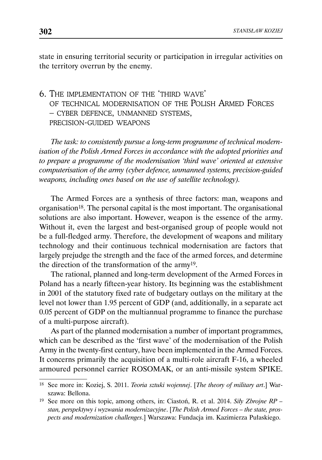state in ensuring territorial security or participation in irregular activities on the territory overrun by the enemy.

# 6. THE IMPLEMENTATION OF THE 'THIRD WAVE' OF TECHNICAL MODERNISATION OF THE POLISH ARMED FORCES – CYBER DEFENCE, UNMANNED SYSTEMS, PRECISION-GUIDED WEAPONS

*The task: to consistently pursue a long-term programme of technical modernisation of the Polish Armed Forces in accordance with the adopted priorities and to prepare a programme of the modernisation 'third wave' oriented at extensive computerisation of the army (cyber defence, unmanned systems, precision-guided weapons, including ones based on the use of satellite technology).*

The Armed Forces are a synthesis of three factors: man, weapons and organisation18. The personal capital is the most important. The organisational solutions are also important. However, weapon is the essence of the army. Without it, even the largest and best-organised group of people would not be a full-fledged army. Therefore, the development of weapons and military technology and their continuous technical modernisation are factors that largely prejudge the strength and the face of the armed forces, and determine the direction of the transformation of the army19.

The rational, planned and long-term development of the Armed Forces in Poland has a nearly fifteen-year history. Its beginning was the establishment in 2001 of the statutory fixed rate of budgetary outlays on the military at the level not lower than 1.95 percent of GDP (and, additionally, in a separate act 0.05 percent of GDP on the multiannual programme to finance the purchase of a multi-purpose aircraft).

As part of the planned modernisation a number of important programmes, which can be described as the 'first wave' of the modernisation of the Polish Army in the twenty-first century, have been implemented in the Armed Forces. It concerns primarily the acquisition of a multi-role aircraft F-16, a wheeled armoured personnel carrier ROSOMAK, or an anti-missile system SPIKE.

<sup>18</sup> See more in: Koziej, S. 2011. *Teoria sztuki wojennej*. [*The theory of military art*.] Warszawa: Bellona.

<sup>19</sup> See more on this topic, among others, in: Ciastoń, R. et al. 2014. *Siły Zbrojne RP – stan, perspektywy i wyzwania modernizacyjne*. [*The Polish Armed Forces – the state, prospects and modernization challenges*.] Warszawa: Fundacja im. Kazimierza Pułaskiego.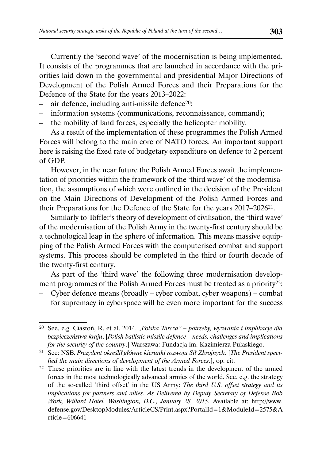Currently the 'second wave' of the modernisation is being implemented. It consists of the programmes that are launched in accordance with the priorities laid down in the governmental and presidential Major Directions of Development of the Polish Armed Forces and their Preparations for the Defence of the State for the years 2013–2022:

- air defence, including anti-missile defence<sup>20</sup>;
- information systems (communications, reconnaissance, command);
- the mobility of land forces, especially the helicopter mobility.

As a result of the implementation of these programmes the Polish Armed Forces will belong to the main core of NATO forces. An important support here is raising the fixed rate of budgetary expenditure on defence to 2 percent of GDP.

However, in the near future the Polish Armed Forces await the implementation of priorities within the framework of the 'third wave' of the modernisation, the assumptions of which were outlined in the decision of the President on the Main Directions of Development of the Polish Armed Forces and their Preparations for the Defence of the State for the years 2017–202621.

Similarly to Toffler's theory of development of civilisation, the 'third wave' of the modernisation of the Polish Army in the twenty-first century should be a technological leap in the sphere of information. This means massive equipping of the Polish Armed Forces with the computerised combat and support systems. This process should be completed in the third or fourth decade of the twenty-first century.

As part of the 'third wave' the following three modernisation development programmes of the Polish Armed Forces must be treated as a priority<sup>22</sup>:

– Cyber defence means (broadly – cyber combat, cyber weapons) – combat for supremacy in cyberspace will be even more important for the success

<sup>20</sup> See, e.g. Ciastoń, R. et al. 2014. *"Polska Tarcza" – potrzeby, wyzwania i implikacje dla bezpieczeństwa kraju*. [*Polish ballistic missile defence – needs, challenges and implications for the security of the country*.] Warszawa: Fundacja im. Kazimierza Pułaskiego.

<sup>21</sup> See: NSB. *Prezydent określił główne kierunki rozwoju Sił Zbrojnych.* [*The President specified the main directions of development of the Armed Forces*.], op. cit.

<sup>22</sup> These priorities are in line with the latest trends in the development of the armed forces in the most technologically advanced armies of the world. See, e.g. the strategy of the so-called 'third offset' in the US Army: *The third U.S. offset strategy and its implications for partners and allies. As Delivered by Deputy Secretary of Defense Bob Work, Willard Hotel, Washington, D.C., January 28, 2015.* Available at: http://www. defense.gov/DesktopModules/ArticleCS/Print.aspx?PortalId=1&ModuleId=2575&A rticle=606641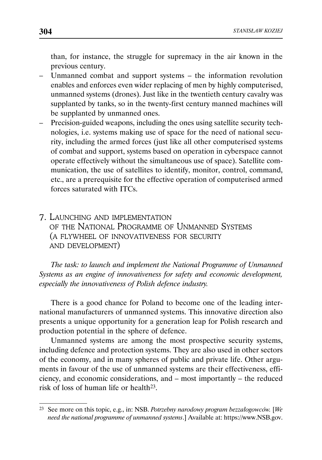than, for instance, the struggle for supremacy in the air known in the previous century.

- Unmanned combat and support systems the information revolution enables and enforces even wider replacing of men by highly computerised, unmanned systems (drones). Just like in the twentieth century cavalry was supplanted by tanks, so in the twenty-first century manned machines will be supplanted by unmanned ones.
- Precision-guided weapons, including the ones using satellite security technologies, i.e. systems making use of space for the need of national security, including the armed forces (just like all other computerised systems of combat and support, systems based on operation in cyberspace cannot operate effectively without the simultaneous use of space). Satellite communication, the use of satellites to identify, monitor, control, command, etc., are a prerequisite for the effective operation of computerised armed forces saturated with ITCs.
- 7. LAUNCHING AND IMPLEMENTATION OF THE NATIONAL PROGRAMME OF UNMANNED SYSTEMS (A FLYWHEEL OF INNOVATIVENESS FOR SECURITY AND DEVELOPMENT)

*The task: to launch and implement the National Programme of Unmanned Systems as an engine of innovativeness for safety and economic development, especially the innovativeness of Polish defence industry.*

There is a good chance for Poland to become one of the leading international manufacturers of unmanned systems. This innovative direction also presents a unique opportunity for a generation leap for Polish research and production potential in the sphere of defence.

Unmanned systems are among the most prospective security systems, including defence and protection systems. They are also used in other sectors of the economy, and in many spheres of public and private life. Other arguments in favour of the use of unmanned systems are their effectiveness, efficiency, and economic considerations, and – most importantly – the reduced risk of loss of human life or health23.

<sup>23</sup> See more on this topic, e.g., in: NSB. *Potrzebny narodowy program bezzałogowców.* [*We need the national programme of unmanned systems*.] Available at: https://www.NSB.gov.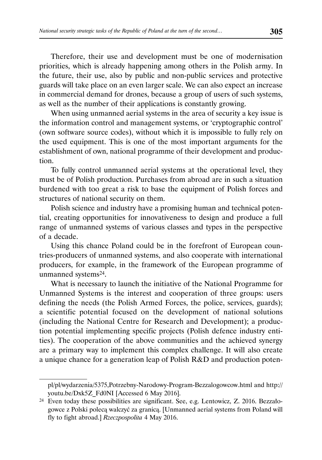Therefore, their use and development must be one of modernisation priorities, which is already happening among others in the Polish army. In the future, their use, also by public and non-public services and protective guards will take place on an even larger scale. We can also expect an increase in commercial demand for drones, because a group of users of such systems, as well as the number of their applications is constantly growing.

When using unmanned aerial systems in the area of security a key issue is the information control and management systems, or 'cryptographic control' (own software source codes), without which it is impossible to fully rely on the used equipment. This is one of the most important arguments for the establishment of own, national programme of their development and production.

To fully control unmanned aerial systems at the operational level, they must be of Polish production. Purchases from abroad are in such a situation burdened with too great a risk to base the equipment of Polish forces and structures of national security on them.

Polish science and industry have a promising human and technical potential, creating opportunities for innovativeness to design and produce a full range of unmanned systems of various classes and types in the perspective of a decade.

Using this chance Poland could be in the forefront of European countries-producers of unmanned systems, and also cooperate with international producers, for example, in the framework of the European programme of unmanned systems24.

What is necessary to launch the initiative of the National Programme for Unmanned Systems is the interest and cooperation of three groups: users defining the needs (the Polish Armed Forces, the police, services, guards); a scientific potential focused on the development of national solutions (including the National Centre for Research and Development); a production potential implementing specific projects (Polish defence industry entities). The cooperation of the above communities and the achieved synergy are a primary way to implement this complex challenge. It will also create a unique chance for a generation leap of Polish R&D and production poten-

pl/pl/wydarzenia/5375,Potrzebny-Narodowy-Program-Bezzalogowcow.html and http:// youtu.be/Dxk5Z\_Fd0NI [Accessed 6 May 2016].

<sup>24</sup> Even today these possibilities are significant. See, e.g. Lentowicz, Z. 2016. Bezzałogowce z Polski polecą walczyć za granicą. [Unmanned aerial systems from Poland will fly to fight abroad.] *Rzeczpospolita* 4 May 2016.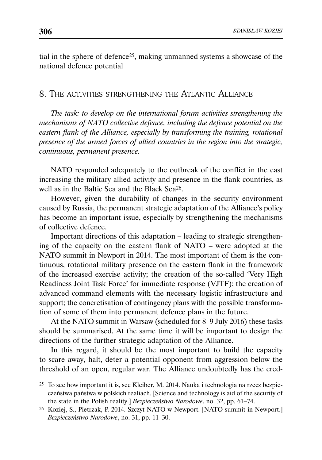tial in the sphere of defence25, making unmanned systems a showcase of the national defence potential

### 8. THE ACTIVITIES STRENGTHENING THE ATLANTIC ALLIANCE

*The task: to develop on the international forum activities strengthening the mechanisms of NATO collective defence, including the defence potential on the eastern flank of the Alliance, especially by transforming the training, rotational presence of the armed forces of allied countries in the region into the strategic, continuous, permanent presence.*

NATO responded adequately to the outbreak of the conflict in the east increasing the military allied activity and presence in the flank countries, as well as in the Baltic Sea and the Black Sea26.

However, given the durability of changes in the security environment caused by Russia, the permanent strategic adaptation of the Alliance's policy has become an important issue, especially by strengthening the mechanisms of collective defence.

Important directions of this adaptation – leading to strategic strengthening of the capacity on the eastern flank of NATO – were adopted at the NATO summit in Newport in 2014. The most important of them is the continuous, rotational military presence on the eastern flank in the framework of the increased exercise activity; the creation of the so-called 'Very High Readiness Joint Task Force' for immediate response (VJTF); the creation of advanced command elements with the necessary logistic infrastructure and support; the concretisation of contingency plans with the possible transformation of some of them into permanent defence plans in the future.

At the NATO summit in Warsaw (scheduled for 8–9 July 2016) these tasks should be summarised. At the same time it will be important to design the directions of the further strategic adaptation of the Alliance.

In this regard, it should be the most important to build the capacity to scare away, halt, deter a potential opponent from aggression below the threshold of an open, regular war. The Alliance undoubtedly has the cred-

<sup>25</sup> To see how important it is, see Kleiber, M. 2014. Nauka i technologia na rzecz bezpieczeństwa państwa w polskich realiach. [Science and technology is aid of the security of the state in the Polish reality.] *Bezpieczeństwo Narodowe*, no. 32, pp. 61–74.

<sup>26</sup> Koziej, S., Pietrzak, P. 2014. Szczyt NATO w Newport. [NATO summit in Newport.] *Bezpieczeństwo Narodowe*, no. 31, pp. 11–30.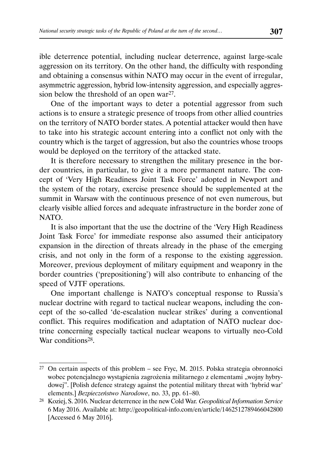ible deterrence potential, including nuclear deterrence, against large-scale aggression on its territory. On the other hand, the difficulty with responding and obtaining a consensus within NATO may occur in the event of irregular, asymmetric aggression, hybrid low-intensity aggression, and especially aggression below the threshold of an open war<sup>27</sup>.

One of the important ways to deter a potential aggressor from such actions is to ensure a strategic presence of troops from other allied countries on the territory of NATO border states. A potential attacker would then have to take into his strategic account entering into a conflict not only with the country which is the target of aggression, but also the countries whose troops would be deployed on the territory of the attacked state.

It is therefore necessary to strengthen the military presence in the border countries, in particular, to give it a more permanent nature. The concept of 'Very High Readiness Joint Task Force' adopted in Newport and the system of the rotary, exercise presence should be supplemented at the summit in Warsaw with the continuous presence of not even numerous, but clearly visible allied forces and adequate infrastructure in the border zone of NATO.

It is also important that the use the doctrine of the 'Very High Readiness Joint Task Force' for immediate response also assumed their anticipatory expansion in the direction of threats already in the phase of the emerging crisis, and not only in the form of a response to the existing aggression. Moreover, previous deployment of military equipment and weaponry in the border countries ('prepositioning') will also contribute to enhancing of the speed of VJTF operations.

One important challenge is NATO's conceptual response to Russia's nuclear doctrine with regard to tactical nuclear weapons, including the concept of the so-called 'de-escalation nuclear strikes' during a conventional conflict. This requires modification and adaptation of NATO nuclear doctrine concerning especially tactical nuclear weapons to virtually neo-Cold War conditions<sup>28</sup>.

<sup>27</sup> On certain aspects of this problem – see Fryc, M. 2015. Polska strategia obronności wobec potencjalnego wystąpienia zagrożenia militarnego z elementami "wojny hybrydowej". [Polish defence strategy against the potential military threat with 'hybrid war' elements.] *Bezpieczeństwo Narodowe*, no. 33, pp. 61–80.

<sup>28</sup> Koziej, S. 2016. Nuclear deterrence in the new Cold War*. Geopolitical Information Service*  6 May 2016. Available at: http://geopolitical-info.com/en/article/1462512789466042800 [Accessed 6 May 2016].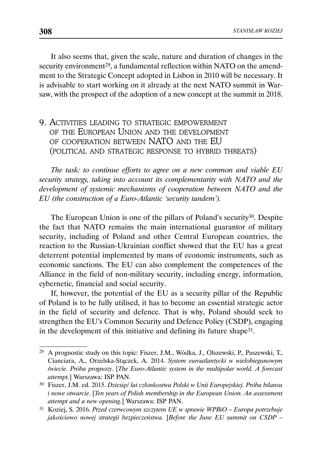It also seems that, given the scale, nature and duration of changes in the security environment<sup>29</sup>, a fundamental reflection within NATO on the amendment to the Strategic Concept adopted in Lisbon in 2010 will be necessary. It is advisable to start working on it already at the next NATO summit in Warsaw, with the prospect of the adoption of a new concept at the summit in 2018.

# 9. ACTIVITIES LEADING TO STRATEGIC EMPOWERMENT OF THE EUROPEAN UNION AND THE DEVELOPMENT OF COOPERATION BETWEEN NATO AND THE EU (POLITICAL AND STRATEGIC RESPONSE TO HYBRID THREATS)

*The task: to continue efforts to agree on a new common and viable EU security strategy, taking into account its complementarity with NATO and the development of systemic mechanisms of cooperation between NATO and the EU (the construction of a Euro-Atlantic 'security tandem').*

The European Union is one of the pillars of Poland's security<sup>30</sup>. Despite the fact that NATO remains the main international guarantor of military security, including of Poland and other Central European countries, the reaction to the Russian-Ukrainian conflict showed that the EU has a great deterrent potential implemented by mans of economic instruments, such as economic sanctions. The EU can also complement the competences of the Alliance in the field of non-military security, including energy, information, cybernetic, financial and social security.

If, however, the potential of the EU as a security pillar of the Republic of Poland is to be fully utilised, it has to become an essential strategic actor in the field of security and defence. That is why, Poland should seek to strengthen the EU's Common Security and Defence Policy (CSDP), engaging in the development of this initiative and defining its future shape31.

<sup>29</sup> A prognostic study on this topic: Fiszer, J.M., Wódka, J., Olszewski, P., Paszewski, T., Cianciara, A., Orzelska-Stączek, A. 2014. *System euroatlantycki w wielobiegunowym świecie. Próba prognozy*. [*The Euro-Atlantic system in the multipolar world. A forecast attempt.*] Warszawa: ISP PAN.

<sup>30</sup> Fiszer, J.M. ed. 2015. *Dziesięć lat członkostwa Polski w Unii Europejskiej. Próba bilansu i nowe otwarcie*. [*Ten years of Polish membership in the European Union. An assessment attempt and a new opening.*] Warszawa: ISP PAN.

<sup>31</sup> Koziej, S. 2016. *Przed czerwcowym szczytem UE w sprawie WPBiO – Europa potrzebuje jakościowo nowej strategii bezpieczeństwa.* [*Before the June EU summit on CSDP –*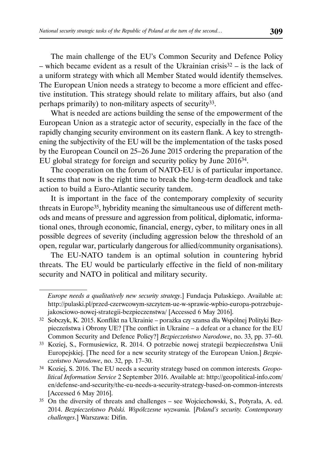The main challenge of the EU's Common Security and Defence Policy – which became evident as a result of the Ukrainian crisis $32$  – is the lack of a uniform strategy with which all Member Stated would identify themselves. The European Union needs a strategy to become a more efficient and effective institution. This strategy should relate to military affairs, but also (and perhaps primarily) to non-military aspects of security33.

What is needed are actions building the sense of the empowerment of the European Union as a strategic actor of security, especially in the face of the rapidly changing security environment on its eastern flank. A key to strengthening the subjectivity of the EU will be the implementation of the tasks posed by the European Council on 25–26 June 2015 ordering the preparation of the EU global strategy for foreign and security policy by June 201634.

The cooperation on the forum of NATO-EU is of particular importance. It seems that now is the right time to break the long-term deadlock and take action to build a Euro-Atlantic security tandem.

It is important in the face of the contemporary complexity of security threats in Europe35, hybridity meaning the simultaneous use of different methods and means of pressure and aggression from political, diplomatic, informational ones, through economic, financial, energy, cyber, to military ones in all possible degrees of severity (including aggression below the threshold of an open, regular war, particularly dangerous for allied/community organisations).

The EU-NATO tandem is an optimal solution in countering hybrid threats. The EU would be particularly effective in the field of non-military security and NATO in political and military security.

*Europe needs a qualitatively new security strategy*.] Fundacja Pułaskiego. Available at: http://pulaski.pl/przed-czerwcowym-szczytem-ue-w-sprawie-wpbio-europa-potrzebujejakosciowo-nowej-strategii-bezpieczenstwa/ [Accessed 6 May 2016].

<sup>32</sup> Sobczyk, K. 2015. Konflikt na Ukrainie – porażka czy szansa dla Wspólnej Polityki Bezpieczeństwa i Obrony UE? [The conflict in Ukraine – a defeat or a chance for the EU Common Security and Defence Policy?] *Bezpieczeństwo Narodowe*, no. 33, pp. 37–60.

<sup>33</sup> Koziej, S., Formusiewicz, R. 2014. O potrzebie nowej strategii bezpieczeństwa Unii Europejskiej. [The need for a new security strategy of the European Union.] *Bezpieczeństwo Narodowe*, no. 32, pp. 17–30.

<sup>34</sup> Koziej, S. 2016. The EU needs a security strategy based on common interests*. Geopolitical Information Service* 2 September 2016. Available at: http://geopolitical-info.com/ en/defense-and-security/the-eu-needs-a-security-strategy-based-on-common-interests [Accessed 6 May 2016].

<sup>35</sup> On the diversity of threats and challenges – see Wojciechowski, S., Potyrała, A. ed. 2014. *Bezpieczeństwo Polski. Współczesne wyzwania.* [*Poland's security. Contemporary challenges*.] Warszawa: Difin.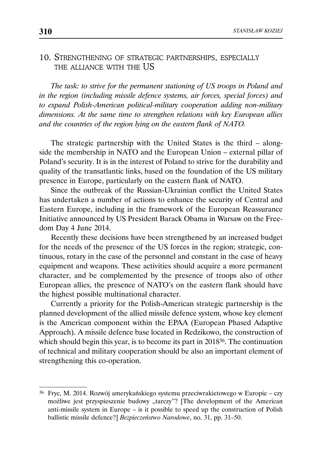### 10. STRENGTHENING OF STRATEGIC PARTNERSHIPS, ESPECIALLY THE ALLIANCE WITH THE US

*The task: to strive for the permanent stationing of US troops in Poland and in the region (including missile defence systems, air forces, special forces) and to expand Polish-American political-military cooperation adding non-military dimensions. At the same time to strengthen relations with key European allies and the countries of the region lying on the eastern flank of NATO.*

The strategic partnership with the United States is the third – alongside the membership in NATO and the European Union – external pillar of Poland's security. It is in the interest of Poland to strive for the durability and quality of the transatlantic links, based on the foundation of the US military presence in Europe, particularly on the eastern flank of NATO.

Since the outbreak of the Russian-Ukrainian conflict the United States has undertaken a number of actions to enhance the security of Central and Eastern Europe, including in the framework of the European Reassurance Initiative announced by US President Barack Obama in Warsaw on the Freedom Day 4 June 2014.

Recently these decisions have been strengthened by an increased budget for the needs of the presence of the US forces in the region; strategic, continuous, rotary in the case of the personnel and constant in the case of heavy equipment and weapons. These activities should acquire a more permanent character, and be complemented by the presence of troops also of other European allies, the presence of NATO's on the eastern flank should have the highest possible multinational character.

Currently a priority for the Polish-American strategic partnership is the planned development of the allied missile defence system, whose key element is the American component within the EPAA (European Phased Adaptive Approach). A missile defence base located in Redzikowo, the construction of which should begin this year, is to become its part in 201836. The continuation of technical and military cooperation should be also an important element of strengthening this co-operation.

<sup>36</sup> Fryc, M. 2014. Rozwój amerykańskiego systemu przeciwrakietowego w Europie – czy możliwe jest przyspieszenie budowy "tarczy"? [The development of the American anti-missile system in Europe – is it possible to speed up the construction of Polish ballistic missile defence?] *Bezpieczeństwo Narodowe*, no. 31, pp. 31–50.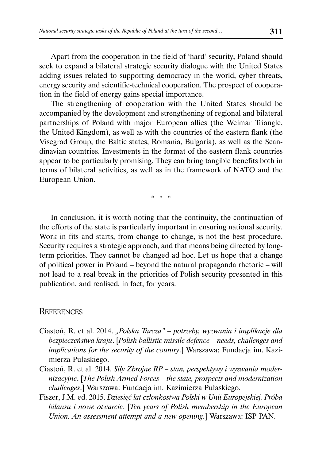Apart from the cooperation in the field of 'hard' security, Poland should seek to expand a bilateral strategic security dialogue with the United States adding issues related to supporting democracy in the world, cyber threats, energy security and scientific-technical cooperation. The prospect of cooperation in the field of energy gains special importance.

The strengthening of cooperation with the United States should be accompanied by the development and strengthening of regional and bilateral partnerships of Poland with major European allies (the Weimar Triangle, the United Kingdom), as well as with the countries of the eastern flank (the Visegrad Group, the Baltic states, Romania, Bulgaria), as well as the Scandinavian countries. Investments in the format of the eastern flank countries appear to be particularly promising. They can bring tangible benefits both in terms of bilateral activities, as well as in the framework of NATO and the European Union.

\* \* \*

In conclusion, it is worth noting that the continuity, the continuation of the efforts of the state is particularly important in ensuring national security. Work in fits and starts, from change to change, is not the best procedure. Security requires a strategic approach, and that means being directed by longterm priorities. They cannot be changed ad hoc. Let us hope that a change of political power in Poland – beyond the natural propaganda rhetoric – will not lead to a real break in the priorities of Polish security presented in this publication, and realised, in fact, for years.

#### **REFERENCES**

- Ciastoń, R. et al. 2014. "Polska Tarcza" potrzeby, wyzwania i implikacje dla *bezpieczeństwa kraju*. [*Polish ballistic missile defence – needs, challenges and implications for the security of the country*.] Warszawa: Fundacja im. Kazimierza Pułaskiego.
- Ciastoń, R. et al. 2014. *Siły Zbrojne RP stan, perspektywy i wyzwania modernizacyjne*. [*The Polish Armed Forces – the state, prospects and modernization challenges*.] Warszawa: Fundacja im. Kazimierza Pułaskiego.
- Fiszer, J.M. ed. 2015. *Dziesięć lat członkostwa Polski w Unii Europejskiej. Próba bilansu i nowe otwarcie*. [*Ten years of Polish membership in the European Union. An assessment attempt and a new opening.*] Warszawa: ISP PAN.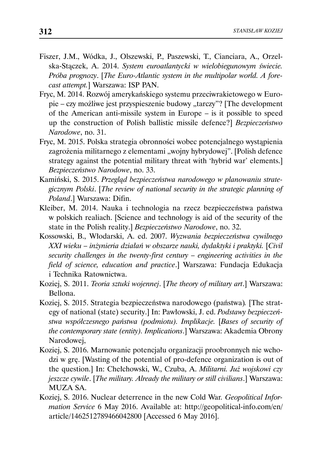- Fiszer, J.M., Wódka, J., Olszewski, P., Paszewski, T., Cianciara, A., Orzelska-Stączek, A. 2014. *System euroatlantycki w wielobiegunowym świecie. Próba prognozy*. [*The Euro-Atlantic system in the multipolar world. A forecast attempt.*] Warszawa: ISP PAN.
- Fryc, M. 2014. Rozwój amerykańskiego systemu przeciwrakietowego w Europie – czy możliwe jest przyspieszenie budowy "tarczy"? [The development of the American anti-missile system in Europe – is it possible to speed up the construction of Polish ballistic missile defence?] *Bezpieczeństwo Narodowe*, no. 31.
- Fryc, M. 2015. Polska strategia obronności wobec potencjalnego wystąpienia zagrożenia militarnego z elementami "wojny hybrydowej". [Polish defence strategy against the potential military threat with 'hybrid war' elements.] *Bezpieczeństwo Narodowe*, no. 33.
- Kamiński, S. 2015. *Przegląd bezpieczeństwa narodowego w planowaniu strategicznym Polski*. [*The review of national security in the strategic planning of Poland*.] Warszawa: Difin.
- Kleiber, M. 2014. Nauka i technologia na rzecz bezpieczeństwa państwa w polskich realiach. [Science and technology is aid of the security of the state in the Polish reality.] *Bezpieczeństwo Narodowe*, no. 32.
- Kossowski, B., Włodarski, A. ed. 2007. *Wyzwania bezpieczeństwa cywilnego XXI wieku – inżynieria działań w obszarze nauki, dydaktyki i praktyki.* [*Civil security challenges in the twenty-first century – engineering activities in the field of science, education and practice*.] Warszawa: Fundacja Edukacja i Technika Ratownictwa.
- Koziej, S. 2011. *Teoria sztuki wojennej*. [*The theory of military art*.] Warszawa: Bellona.
- Koziej, S. 2015. Strategia bezpieczeństwa narodowego (państwa)*.* [The strategy of national (state) security.] In: Pawłowski, J. ed. *Podstawy bezpieczeństwa współczesnego państwa (podmiotu). Implikacje.* [*Bases of security of the contemporary state (entity). Implications*.] Warszawa: Akademia Obrony Narodowej,
- Koziej, S. 2016. Marnowanie potencjału organizacji proobronnych nie wchodzi w grę. [Wasting of the potential of pro-defence organization is out of the question.] In: Chełchowski, W., Czuba, A. *Militarni. Już wojskowi czy jeszcze cywile*. [*The military. Already the military or still civilians*.] Warszawa: MUZA SA.
- Koziej, S. 2016. Nuclear deterrence in the new Cold War*. Geopolitical Information Service* 6 May 2016. Available at: http://geopolitical-info.com/en/ article/1462512789466042800 [Accessed 6 May 2016].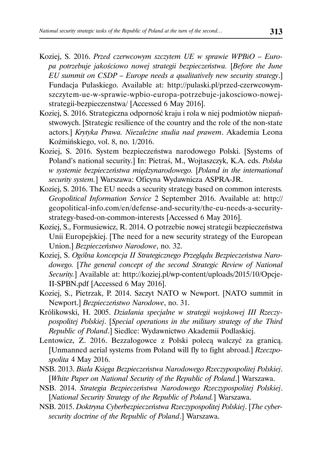- Koziej, S. 2016. *Przed czerwcowym szczytem UE w sprawie WPBiO Europa potrzebuje jakościowo nowej strategii bezpieczeństwa.* [*Before the June EU summit on CSDP – Europe needs a qualitatively new security strategy*.] Fundacja Pułaskiego. Available at: http://pulaski.pl/przed-czerwcowymszczytem-ue-w-sprawie-wpbio-europa-potrzebuje-jakosciowo-nowejstrategii-bezpieczenstwa/ [Accessed 6 May 2016].
- Koziej, S. 2016. Strategiczna odporność kraju i rola w niej podmiotów niepaństwowych. [Strategic resilience of the country and the role of the non-state actors.] *Krytyka Prawa. Niezależne studia nad prawem*. Akademia Leona Koźmińskiego, vol. 8, no. 1/2016.
- Koziej, S. 2016. System bezpieczeństwa narodowego Polski. [Systems of Poland's national security.] In: Pietraś, M., Wojtaszczyk, K.A. eds. *Polska w systemie bezpieczeństwa międzynarodowego.* [*Poland in the international security system.*] Warszawa: Oficyna Wydawnicza ASPRA-JR.
- Koziej, S. 2016. The EU needs a security strategy based on common interests*. Geopolitical Information Service* 2 September 2016. Available at: http:// geopolitical-info.com/en/defense-and-security/the-eu-needs-a-securitystrategy-based-on-common-interests [Accessed 6 May 2016].
- Koziej, S., Formusiewicz, R. 2014. O potrzebie nowej strategii bezpieczeństwa Unii Europejskiej. [The need for a new security strategy of the European Union.] *Bezpieczeństwo Narodowe*, no. 32.
- Koziej, S. *Ogólna koncepcja II Strategicznego Przeglądu Bezpieczeństwa Narodowego.* [*The general concept of the second Strategic Review of National Security.*] Available at: http://koziej.pl/wp-content/uploads/2015/10/Opcje-II-SPBN.pdf [Accessed 6 May 2016].
- Koziej, S., Pietrzak, P. 2014. Szczyt NATO w Newport. [NATO summit in Newport.] *Bezpieczeństwo Narodowe*, no. 31.
- Królikowski, H. 2005. *Działania specjalne w strategii wojskowej III Rzeczypospolitej Polskiej*. [*Special operations in the military strategy of the Third Republic of Poland*.] Siedlce: Wydawnictwo Akademii Podlaskiej.
- Lentowicz, Z. 2016. Bezzałogowce z Polski polecą walczyć za granicą. [Unmanned aerial systems from Poland will fly to fight abroad.] *Rzeczpospolita* 4 May 2016.
- NSB. 2013. *Biała Księga Bezpieczeństwa Narodowego Rzeczypospolitej Polskiej*. [*White Paper on National Security of the Republic of Poland*.] Warszawa.
- NSB. 2014. *Strategia Bezpieczeństwa Narodowego Rzeczypospolitej Polskiej*. [*National Security Strategy of the Republic of Poland.*] Warszawa.
- NSB. 2015. *Doktryna Cyberbezpieczeństwa Rzeczypospolitej Polskiej*. [*The cybersecurity doctrine of the Republic of Poland*.] Warszawa.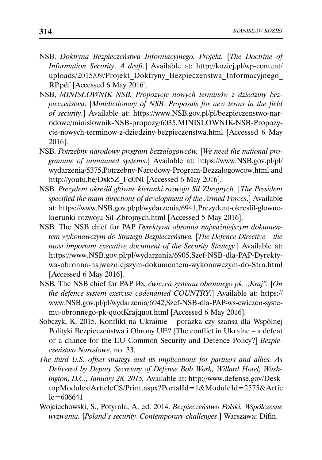- NSB. *Doktryna Bezpieczeństwa Informacyjnego. Projekt.* [*The Doctrine of Information Security*. *A draft*.] Available at: http://koziej.pl/wp-content/ uploads/2015/09/Projekt\_Doktryny\_Bezpieczenstwa\_Informacyjnego\_ RP.pdf [Accessed 6 May 2016].
- NSB, *MINISŁOWNIK NSB. Propozycje nowych terminów z dziedziny bezpieczeństwa*. [*Minidictionary of NSB. Proposals for new terms in the field of security*.] Available at: https://www.NSB.gov.pl/pl/bezpieczenstwo-narodowe/minislownik-NSB-propozy/6035,MINISLOWNIK-NSB-Propozycje-nowych-terminow-z-dziedziny-bezpieczenstwa.html [Accessed 6 May 2016].
- NSB. *Potrzebny narodowy program bezzałogowców.* [*We need the national programme of unmanned systems*.] Available at: https://www.NSB.gov.pl/pl/ wydarzenia/5375,Potrzebny-Narodowy-Program-Bezzalogowcow.html and http://youtu.be/Dxk5Z\_Fd0NI [Accessed 6 May 2016].
- NSB. *Prezydent określił główne kierunki rozwoju Sił Zbrojnych.* [*The President specified the main directions of development of the Armed Forces*.] Available at: https://www.NSB.gov.pl/pl/wydarzenia/6941,Prezydent-okreslil-glownekierunki-rozwoju-Sil-Zbrojnych.html [Accessed 5 May 2016].
- NSB. The NSB chief for PAP *Dyrektywa obronna najważniejszym dokumentem wykonawczym do Strategii Bezpieczeństwa.* [*The Defence Directive – the most important executive document of the Security Strategy.*] Available at: https://www.NSB.gov.pl/pl/wydarzenia/6905,Szef-NSB-dla-PAP-Dyrektywa-obronna-najwazniejszym-dokumentem-wykonawczym-do-Stra.html [Accessed 6 May 2016].
- NSB*.* The NSB chief for PAP *Ws. ćwiczeń systemu obronnego pk. "Kraj".* [*On the defence system exercise codenamed COUNTRY*.] Available at: https:// www.NSB.gov.pl/pl/wydarzenia/6942,Szef-NSB-dla-PAP-ws-cwiczen-systemu-obronnego-pk-quotKrajquot.html [Accessed 6 May 2016].
- Sobczyk, K. 2015. Konflikt na Ukrainie porażka czy szansa dla Wspólnej Polityki Bezpieczeństwa i Obrony UE? [The conflict in Ukraine – a defeat or a chance for the EU Common Security and Defence Policy?] *Bezpieczeństwo Narodowe*, no. 33.
- *The third U.S. offset strategy and its implications for partners and allies. As Delivered by Deputy Secretary of Defense Bob Work, Willard Hotel, Washington, D.C., January 28, 2015.* Available at: http://www.defense.gov/DesktopModules/ArticleCS/Print.aspx?PortalId=1&ModuleId=2575&Artic  $le=606641$
- Wojciechowski, S., Potyrała, A. ed. 2014. *Bezpieczeństwo Polski. Współczesne wyzwania.* [*Poland's security. Contemporary challenges*.] Warszawa: Difin.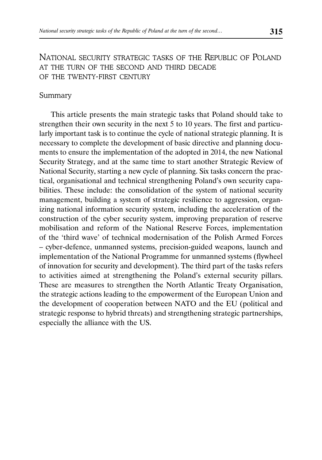NATIONAL SECURITY STRATEGIC TASKS OF THE REPUBLIC OF POLAND AT THE TURN OF THE SECOND AND THIRD DECADE OF THE TWENTY-FIRST CENTURY

#### Summary

This article presents the main strategic tasks that Poland should take to strengthen their own security in the next 5 to 10 years. The first and particularly important task is to continue the cycle of national strategic planning. It is necessary to complete the development of basic directive and planning documents to ensure the implementation of the adopted in 2014, the new National Security Strategy, and at the same time to start another Strategic Review of National Security, starting a new cycle of planning. Six tasks concern the practical, organisational and technical strengthening Poland's own security capabilities. These include: the consolidation of the system of national security management, building a system of strategic resilience to aggression, organizing national information security system, including the acceleration of the construction of the cyber security system, improving preparation of reserve mobilisation and reform of the National Reserve Forces, implementation of the 'third wave' of technical modernisation of the Polish Armed Forces – cyber-defence, unmanned systems, precision-guided weapons, launch and implementation of the National Programme for unmanned systems (flywheel of innovation for security and development). The third part of the tasks refers to activities aimed at strengthening the Poland's external security pillars. These are measures to strengthen the North Atlantic Treaty Organisation, the strategic actions leading to the empowerment of the European Union and the development of cooperation between NATO and the EU (political and strategic response to hybrid threats) and strengthening strategic partnerships, especially the alliance with the US.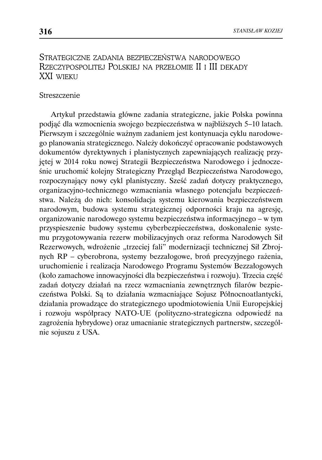### STRATEGICZNE ZADANIA BEZPIECZEŃSTWA NARODOWEGO RZECZYPOSPOLITEJ POLSKIEJ NA PRZEŁOMIE II I III DEKADY XXI WIEKU

#### Streszczenie

Artykuł przedstawia główne zadania strategiczne, jakie Polska powinna podjąć dla wzmocnienia swojego bezpieczeństwa w najbliższych 5–10 latach. Pierwszym i szczególnie ważnym zadaniem jest kontynuacja cyklu narodowego planowania strategicznego. Należy dokończyć opracowanie podstawowych dokumentów dyrektywnych i planistycznych zapewniających realizację przyjętej w 2014 roku nowej Strategii Bezpieczeństwa Narodowego i jednocześnie uruchomić kolejny Strategiczny Przegląd Bezpieczeństwa Narodowego, rozpoczynający nowy cykl planistyczny. Sześć zadań dotyczy praktycznego, organizacyjno-technicznego wzmacniania własnego potencjału bezpieczeństwa. Należą do nich: konsolidacja systemu kierowania bezpieczeństwem narodowym, budowa systemu strategicznej odporności kraju na agresję, organizowanie narodowego systemu bezpieczeństwa informacyjnego – w tym przyspieszenie budowy systemu cyberbezpieczeństwa, doskonalenie systemu przygotowywania rezerw mobilizacyjnych oraz reforma Narodowych Sił Rezerwowych, wdrożenie "trzeciej fali" modernizacji technicznej Sił Zbrojnych RP – cyberobrona, systemy bezzałogowe, broń precyzyjnego rażenia, uruchomienie i realizacja Narodowego Programu Systemów Bezzałogowych (koło zamachowe innowacyjności dla bezpieczeństwa i rozwoju). Trzecia część zadań dotyczy działań na rzecz wzmacniania zewnętrznych filarów bezpieczeństwa Polski. Są to działania wzmacniające Sojusz Północnoatlantycki, działania prowadzące do strategicznego upodmiotowienia Unii Europejskiej i rozwoju współpracy NATO-UE (polityczno-strategiczna odpowiedź na zagrożenia hybrydowe) oraz umacnianie strategicznych partnerstw, szczególnie sojuszu z USA.